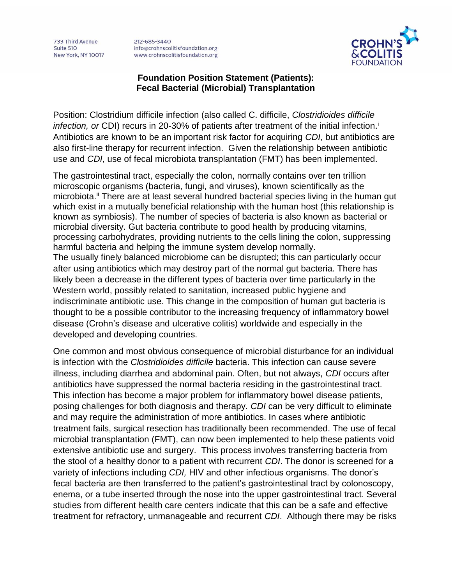733 Third Avenue Suite 510 **New York, NY 10017**  212-685-3440 info@crohnscolitisfoundation.org www.crohnscolitisfoundation.org



## **Foundation Position Statement (Patients): Fecal Bacterial (Microbial) Transplantation**

Position: Clostridium difficile infection (also called C. difficile, *Clostridioides difficile infection, or* CDI) recurs in 20-30% of patients after treatment of the initial infection.<sup>i</sup> Antibiotics are known to be an important risk factor for acquiring *CDI*, but antibiotics are also first-line therapy for recurrent infection. Given the relationship between antibiotic use and *CDI*, use of fecal microbiota transplantation (FMT) has been implemented.

The gastrointestinal tract, especially the colon, normally contains over ten trillion microscopic organisms (bacteria, fungi, and viruses), known scientifically as the microbiota.<sup>ii</sup> There are at least several hundred bacterial species living in the human gut which exist in a mutually beneficial relationship with the human host (this relationship is known as symbiosis). The number of species of bacteria is also known as bacterial or microbial diversity. Gut bacteria contribute to good health by producing vitamins, processing carbohydrates, providing nutrients to the cells lining the colon, suppressing harmful bacteria and helping the immune system develop normally. The usually finely balanced microbiome can be disrupted; this can particularly occur after using antibiotics which may destroy part of the normal gut bacteria. There has likely been a decrease in the different types of bacteria over time particularly in the Western world, possibly related to sanitation, increased public hygiene and indiscriminate antibiotic use. This change in the composition of human gut bacteria is thought to be a possible contributor to the increasing frequency of inflammatory bowel disease (Crohn's disease and ulcerative colitis) worldwide and especially in the developed and developing countries.

One common and most obvious consequence of microbial disturbance for an individual is infection with the *Clostridioides difficile* bacteria. This infection can cause severe illness, including diarrhea and abdominal pain. Often, but not always, *CDI* occurs after antibiotics have suppressed the normal bacteria residing in the gastrointestinal tract. This infection has become a major problem for inflammatory bowel disease patients, posing challenges for both diagnosis and therapy. *CDI* can be very difficult to eliminate and may require the administration of more antibiotics. In cases where antibiotic treatment fails, surgical resection has traditionally been recommended. The use of fecal microbial transplantation (FMT), can now been implemented to help these patients void extensive antibiotic use and surgery. This process involves transferring bacteria from the stool of a healthy donor to a patient with recurrent *CDI*. The donor is screened for a variety of infections including *CDI,* HIV and other infectious organisms. The donor's fecal bacteria are then transferred to the patient's gastrointestinal tract by colonoscopy, enema, or a tube inserted through the nose into the upper gastrointestinal tract. Several studies from different health care centers indicate that this can be a safe and effective treatment for refractory, unmanageable and recurrent *CDI*. Although there may be risks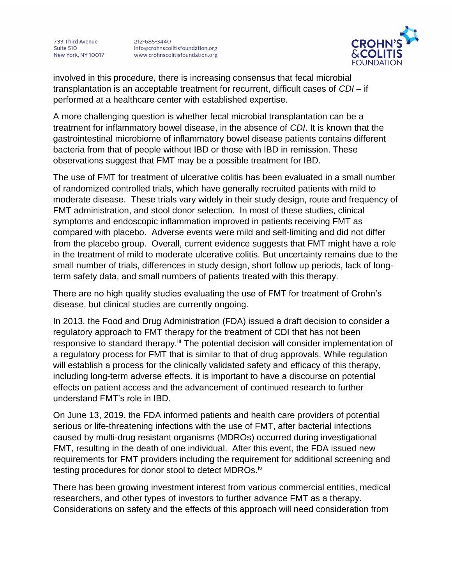733 Third Avenue Suite 510 New York, NY 10017 212-685-3440 info@crohnscolitisfoundation.org www.crohnscolitisfoundation.org



involved in this procedure, there is increasing consensus that fecal microbial transplantation is an acceptable treatment for recurrent, difficult cases of *CDI* – if performed at a healthcare center with established expertise.

A more challenging question is whether fecal microbial transplantation can be a treatment for inflammatory bowel disease, in the absence of *CDI*. It is known that the gastrointestinal microbiome of inflammatory bowel disease patients contains different bacteria from that of people without IBD or those with IBD in remission. These observations suggest that FMT may be a possible treatment for IBD.

The use of FMT for treatment of ulcerative colitis has been evaluated in a small number of randomized controlled trials, which have generally recruited patients with mild to moderate disease. These trials vary widely in their study design, route and frequency of FMT administration, and stool donor selection. In most of these studies, clinical symptoms and endoscopic inflammation improved in patients receiving FMT as compared with placebo. Adverse events were mild and self-limiting and did not differ from the placebo group. Overall, current evidence suggests that FMT might have a role in the treatment of mild to moderate ulcerative colitis. But uncertainty remains due to the small number of trials, differences in study design, short follow up periods, lack of longterm safety data, and small numbers of patients treated with this therapy.

There are no high quality studies evaluating the use of FMT for treatment of Crohn's disease, but clinical studies are currently ongoing.

In 2013, the Food and Drug Administration (FDA) issued a draft decision to consider a regulatory approach to FMT therapy for the treatment of CDI that has not been responsive to standard therapy.<sup>iii</sup> The potential decision will consider implementation of a regulatory process for FMT that is similar to that of drug approvals. While regulation will establish a process for the clinically validated safety and efficacy of this therapy, including long-term adverse effects, it is important to have a discourse on potential effects on patient access and the advancement of continued research to further understand FMT's role in IBD.

On June 13, 2019, the FDA informed patients and health care providers of potential serious or life-threatening infections with the use of FMT, after bacterial infections caused by multi-drug resistant organisms (MDROs) occurred during investigational FMT, resulting in the death of one individual. After this event, the FDA issued new requirements for FMT providers including the requirement for additional screening and testing procedures for donor stool to detect MDROs.<sup>iv</sup>

There has been growing investment interest from various commercial entities, medical researchers, and other types of investors to further advance FMT as a therapy. Considerations on safety and the effects of this approach will need consideration from